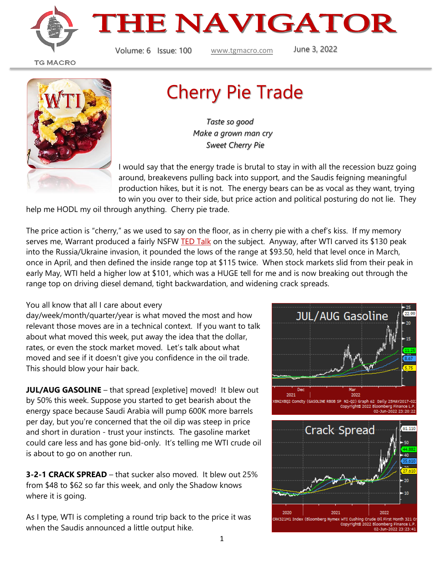



**TG MACRO** 



## Cherry Pie Trade

 *Taste so good Make a grown man cry Sweet Cherry Pie*

I would say that the energy trade is brutal to stay in with all the recession buzz going around, breakevens pulling back into support, and the Saudis feigning meaningful production hikes, but it is not. The energy bears can be as vocal as they want, trying to win you over to their side, but price action and political posturing do not lie. They

help me HODL my oil through anything. Cherry pie trade.

The price action is "cherry," as we used to say on the floor, as in cherry pie with a chef's kiss. If my memory serves me, Warrant produced a fairly NSFW [TED Talk](https://www.youtube.com/watch?v=OjyZKfdwlng) on the subject. Anyway, after WTI carved its \$130 peak into the Russia/Ukraine invasion, it pounded the lows of the range at \$93.50, held that level once in March, once in April, and then defined the inside range top at \$115 twice. When stock markets slid from their peak in early May, WTI held a higher low at \$101, which was a HUGE tell for me and is now breaking out through the range top on driving diesel demand, tight backwardation, and widening crack spreads.

## You all know that all I care about every

day/week/month/quarter/year is what moved the most and how relevant those moves are in a technical context. If you want to talk about what moved this week, put away the idea that the dollar, rates, or even the stock market moved. Let's talk about what moved and see if it doesn't give you confidence in the oil trade. This should blow your hair back.

**JUL/AUG GASOLINE** – that spread [expletive] moved! It blew out by 50% this week. Suppose you started to get bearish about the energy space because Saudi Arabia will pump 600K more barrels per day, but you're concerned that the oil dip was steep in price and short in duration - trust your instincts. The gasoline market could care less and has gone bid-only. It's telling me WTI crude oil is about to go on another run.

**3-2-1 CRACK SPREAD** – that sucker also moved. It blew out 25% from \$48 to \$62 so far this week, and only the Shadow knows where it is going.

As I type, WTI is completing a round trip back to the price it was when the Saudis announced a little output hike.

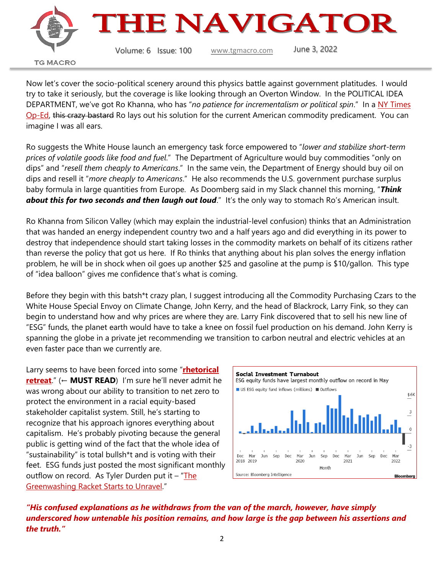

Now let's cover the socio-political scenery around this physics battle against government platitudes. I would try to take it seriously, but the coverage is like looking through an Overton Window. In the POLITICAL IDEA DEPARTMENT, we've got Ro Khanna, who has "*no patience for incrementalism or political spin*." In a [NY Times](https://www.nytimes.com/2022/06/02/opinion/inflation-biden-congress.html?smtyp=cur&smid=tw-nytopinion)  [Op-Ed,](https://www.nytimes.com/2022/06/02/opinion/inflation-biden-congress.html?smtyp=cur&smid=tw-nytopinion) this crazy bastard Ro lays out his solution for the current American commodity predicament. You can imagine I was all ears.

Ro suggests the White House launch an emergency task force empowered to "*lower and stabilize short-term prices of volatile goods like food and fuel*." The Department of Agriculture would buy commodities "only on dips" and "*resell them cheaply to Americans*." In the same vein, the Department of Energy should buy oil on dips and resell it "*more cheaply to Americans*." He also recommends the U.S. government purchase surplus baby formula in large quantities from Europe. As Doomberg said in my Slack channel this morning, "*Think about this for two seconds and then laugh out loud*." It's the only way to stomach Ro's American insult.

Ro Khanna from Silicon Valley (which may explain the industrial-level confusion) thinks that an Administration that was handed an energy independent country two and a half years ago and did everything in its power to destroy that independence should start taking losses in the commodity markets on behalf of its citizens rather than reverse the policy that got us here. If Ro thinks that anything about his plan solves the energy inflation problem, he will be in shock when oil goes up another \$25 and gasoline at the pump is \$10/gallon. This type of "idea balloon" gives me confidence that's what is coming.

Before they begin with this batsh\*t crazy plan, I suggest introducing all the Commodity Purchasing Czars to the White House Special Envoy on Climate Change, John Kerry, and the head of Blackrock, Larry Fink, so they can begin to understand how and why prices are where they are. Larry Fink discovered that to sell his new line of "ESG" funds, the planet earth would have to take a knee on fossil fuel production on his demand. John Kerry is spanning the globe in a private jet recommending we transition to carbon neutral and electric vehicles at an even faster pace than we currently are.

Larry seems to have been forced into some "**[rhetorical](https://www.realclearmarkets.com/articles/2022/06/01/as_larry_fink_retreats_rhetorically_his_incoherence_grows_louder_834904.html)  [retreat](https://www.realclearmarkets.com/articles/2022/06/01/as_larry_fink_retreats_rhetorically_his_incoherence_grows_louder_834904.html)**." (← **MUST READ**) I'm sure he'll never admit he was wrong about our ability to transition to net zero to protect the environment in a racial equity-based stakeholder capitalist system. Still, he's starting to recognize that his approach ignores everything about capitalism. He's probably pivoting because the general public is getting wind of the fact that the whole idea of "sustainability" is total bullsh\*t and is voting with their feet. ESG funds just posted the most significant monthly outflow on record. As Tyler Durden put it  $-$  "The [Greenwashing Racket Starts to Unravel.](https://www.zerohedge.com/markets/esg-funds-post-largest-monthly-outflow-record-greenwashing-racket-starts-unravel)"



*"His confused explanations as he withdraws from the van of the march, however, have simply underscored how untenable his position remains, and how large is the gap between his assertions and the truth."*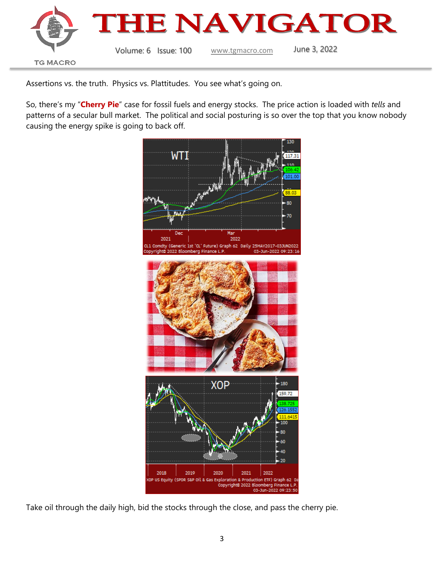

Assertions vs. the truth. Physics vs. Plattitudes. You see what's going on.

So, there's my "**Cherry Pie**" case for fossil fuels and energy stocks. The price action is loaded with *tells* and patterns of a secular bull market. The political and social posturing is so over the top that you know nobody causing the energy spike is going to back off.



Take oil through the daily high, bid the stocks through the close, and pass the cherry pie.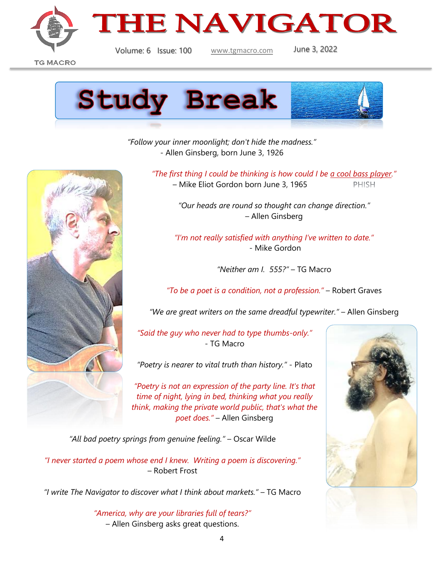



**TG MACRO** 



*"Follow your inner moonlight; don't hide the madness."* - Allen Ginsberg, born June 3, 1926



*"The first thing I could be thinking is how could I be [a cool bass player](https://www.youtube.com/watch?v=PrrPVy0HIL8)."*

– Mike Eliot Gordon born June 3, 1965 **PHISH** 

*"Our heads are round so thought can change direction."* – Allen Ginsberg

*"I'm not really satisfied with anything I've written to date."* - Mike Gordon

*"Neither am I. 555?"* – TG Macro

*"To be a poet is a condition, not a profession."* – Robert Graves

*"We are great writers on the same dreadful typewriter."* – Allen Ginsberg

*"Said the guy who never had to type thumbs-only."* - TG Macro

*"Poetry is nearer to vital truth than history."* - Plato

*"Poetry is not an expression of the party line. It's that time of night, lying in bed, thinking what you really think, making the private world public, that's what the poet does."* – Allen Ginsberg

*"All bad poetry springs from genuine feeling."* – Oscar Wilde

*"I never started a poem whose end I knew. Writing a poem is discovering."*  – Robert Frost

*"I write The Navigator to discover what I think about markets."* – TG Macro

*"America, why are your libraries full of tears?"* – Allen Ginsberg asks great questions.

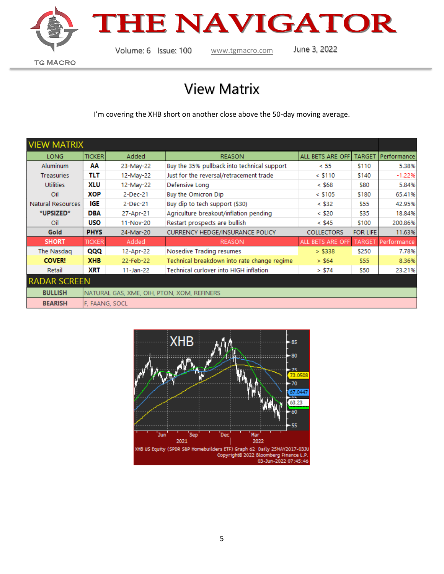



## View Matrix

I'm covering the XHB short on another close above the 50-day moving average.

| <b>VIEW MATRIX</b>  |                                            |               |                                             |                   |                 |             |
|---------------------|--------------------------------------------|---------------|---------------------------------------------|-------------------|-----------------|-------------|
| LONG                | <b>TICKER</b>                              | Added         | <b>REASON</b>                               | ALL BETS ARE OFF  | <b>TARGET</b>   | Performance |
| <b>Aluminum</b>     | АΑ                                         | 23-May-22     | Buy the 35% pullback into technical support | < 55              | \$110           | 5.38%       |
| <b>Treasuries</b>   | TLT                                        | 12-May-22     | Just for the reversal/retracement trade     | $<$ \$110         | \$140           | $-1.22%$    |
| <b>Utilities</b>    | XLU                                        | 12-May-22     | Defensive Long                              | < \$68            | \$80            | 5.84%       |
| Oil                 | XOP                                        | 2-Dec-21      | Buy the Omicron Dip                         | $<$ \$105         | \$180           | 65.41%      |
| Natural Resources   | IGE                                        | $2$ -Dec-21   | Buy dip to tech support (\$30)              | $<$ \$32          | \$55            | 42.95%      |
| *UPSIZED*           | <b>DBA</b>                                 | 27-Apr-21     | Agriculture breakout/inflation pending      | $<$ \$20          | \$35            | 18.84%      |
| Oil                 | <b>USO</b>                                 | 11-Nov-20     | Restart prospects are bullish               | $<$ \$45          | \$100           | 200.86%     |
| <b>Gold</b>         | <b>PHYS</b>                                | 24-Mar-20     | <b>CURRENCY HEDGE/INSURANCE POLICY</b>      | <b>COLLECTORS</b> | <b>FOR LIFE</b> | 11.63%      |
| <b>SHORT</b>        | <b>TICKER</b>                              | Added         | <b>REASON</b>                               | ALL BETS ARE OFF  | <b>TARGET</b>   | Performance |
| The Nasdag          | QQQ                                        | 12-Apr-22     | Nosedive Trading resumes                    | > \$338           | \$250           | 7.78%       |
| <b>COVER!</b>       | <b>XHB</b>                                 | 22-Feb-22     | Technical breakdown into rate change regime | > \$64            | \$55            | 8.36%       |
| Retail              | <b>XRT</b>                                 | $11 - Jan-22$ | Technical curlover into HIGH inflation      | > \$74            | \$50            | 23.21%      |
| <b>RADAR SCREEN</b> |                                            |               |                                             |                   |                 |             |
| <b>BULLISH</b>      | NATURAL GAS, XME, OIH, PTON, XOM, REFINERS |               |                                             |                   |                 |             |
| <b>BEARISH</b>      | F, FAANG, SOCL                             |               |                                             |                   |                 |             |